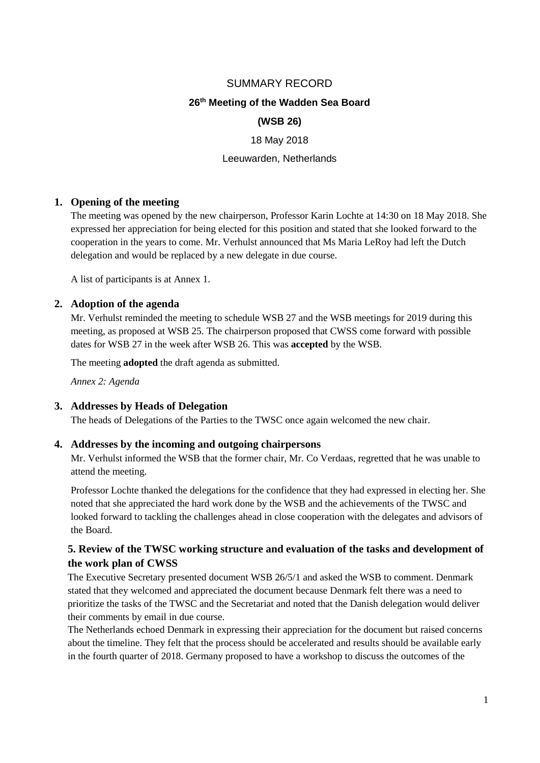# SUMMARY RECORD

# **26 th Meeting of the Wadden Sea Board**

# **(WSB 26)**

### 18 May 2018

## Leeuwarden, Netherlands

## **1. Opening of the meeting**

The meeting was opened by the new chairperson, Professor Karin Lochte at 14:30 on 18 May 2018. She expressed her appreciation for being elected for this position and stated that she looked forward to the cooperation in the years to come. Mr. Verhulst announced that Ms Maria LeRoy had left the Dutch delegation and would be replaced by a new delegate in due course.

A list of participants is at Annex 1.

## **2. Adoption of the agenda**

Mr. Verhulst reminded the meeting to schedule WSB 27 and the WSB meetings for 2019 during this meeting, as proposed at WSB 25. The chairperson proposed that CWSS come forward with possible dates for WSB 27 in the week after WSB 26. This was **accepted** by the WSB.

The meeting **adopted** the draft agenda as submitted.

*Annex 2: Agenda*

### **3. Addresses by Heads of Delegation**

The heads of Delegations of the Parties to the TWSC once again welcomed the new chair.

### **4. Addresses by the incoming and outgoing chairpersons**

Mr. Verhulst informed the WSB that the former chair, Mr. Co Verdaas, regretted that he was unable to attend the meeting.

Professor Lochte thanked the delegations for the confidence that they had expressed in electing her. She noted that she appreciated the hard work done by the WSB and the achievements of the TWSC and looked forward to tackling the challenges ahead in close cooperation with the delegates and advisors of the Board.

# **5. Review of the TWSC working structure and evaluation of the tasks and development of the work plan of CWSS**

The Executive Secretary presented document WSB 26/5/1 and asked the WSB to comment. Denmark stated that they welcomed and appreciated the document because Denmark felt there was a need to prioritize the tasks of the TWSC and the Secretariat and noted that the Danish delegation would deliver their comments by email in due course.

The Netherlands echoed Denmark in expressing their appreciation for the document but raised concerns about the timeline. They felt that the process should be accelerated and results should be available early in the fourth quarter of 2018. Germany proposed to have a workshop to discuss the outcomes of the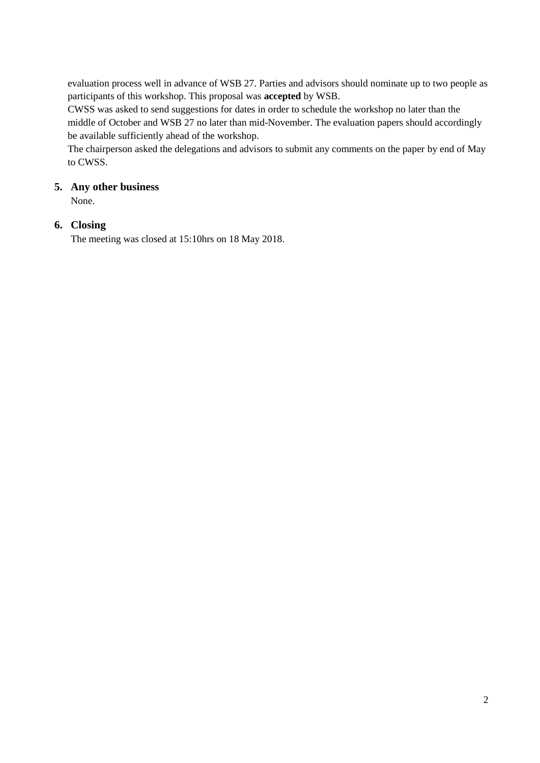evaluation process well in advance of WSB 27. Parties and advisors should nominate up to two people as participants of this workshop. This proposal was **accepted** by WSB.

CWSS was asked to send suggestions for dates in order to schedule the workshop no later than the middle of October and WSB 27 no later than mid-November. The evaluation papers should accordingly be available sufficiently ahead of the workshop.

The chairperson asked the delegations and advisors to submit any comments on the paper by end of May to CWSS.

# **5. Any other business**

None.

# **6. Closing**

The meeting was closed at 15:10hrs on 18 May 2018.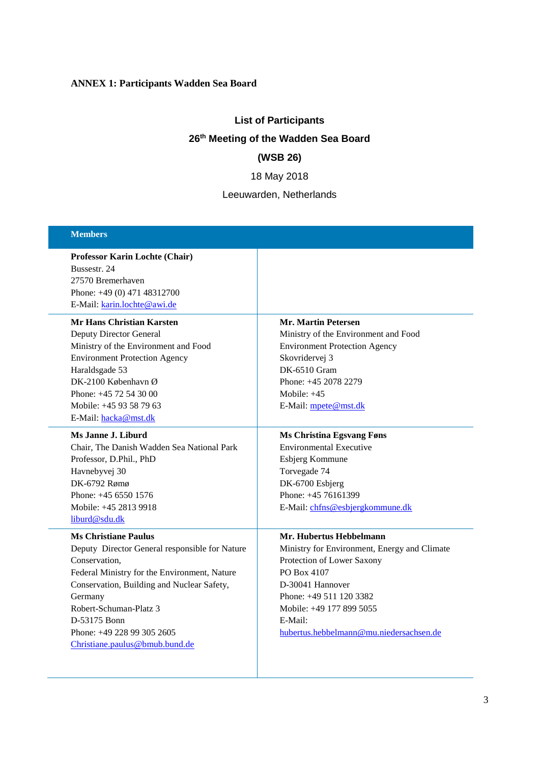# **ANNEX 1: Participants Wadden Sea Board**

# **List of Participants 26th Meeting of the Wadden Sea Board (WSB 26)**

18 May 2018

Leeuwarden, Netherlands

| <b>Members</b>                                 |                                              |  |
|------------------------------------------------|----------------------------------------------|--|
| Professor Karin Lochte (Chair)                 |                                              |  |
| Bussestr. 24                                   |                                              |  |
| 27570 Bremerhaven                              |                                              |  |
| Phone: +49 (0) 471 48312700                    |                                              |  |
| E-Mail: karin.lochte@awi.de                    |                                              |  |
| <b>Mr Hans Christian Karsten</b>               | <b>Mr. Martin Petersen</b>                   |  |
| Deputy Director General                        | Ministry of the Environment and Food         |  |
| Ministry of the Environment and Food           | <b>Environment Protection Agency</b>         |  |
| <b>Environment Protection Agency</b>           | Skovridervej 3                               |  |
| Haraldsgade 53                                 | <b>DK-6510 Gram</b>                          |  |
| DK-2100 København Ø                            | Phone: +45 2078 2279                         |  |
| Phone: +45 72 54 30 00                         | Mobile: $+45$                                |  |
| Mobile: +45 93 58 79 63                        | E-Mail: mpete@mst.dk                         |  |
| E-Mail: hacka@mst.dk                           |                                              |  |
| Ms Janne J. Liburd                             | <b>Ms Christina Egsvang Føns</b>             |  |
| Chair, The Danish Wadden Sea National Park     | <b>Environmental Executive</b>               |  |
| Professor, D.Phil., PhD                        | Esbjerg Kommune                              |  |
| Havnebyvej 30                                  | Torvegade 74                                 |  |
| DK-6792 Rømø                                   | DK-6700 Esbjerg                              |  |
| Phone: $+4565501576$                           | Phone: +45 76161399                          |  |
| Mobile: +45 2813 9918                          | E-Mail: chfns@esbjergkommune.dk              |  |
| liburd@sdu.dk                                  |                                              |  |
| <b>Ms Christiane Paulus</b>                    | Mr. Hubertus Hebbelmann                      |  |
| Deputy Director General responsible for Nature | Ministry for Environment, Energy and Climate |  |
| Conservation,                                  | Protection of Lower Saxony                   |  |
| Federal Ministry for the Environment, Nature   | PO Box 4107                                  |  |
| Conservation, Building and Nuclear Safety,     | D-30041 Hannover                             |  |
| Germany                                        | Phone: +49 511 120 3382                      |  |
| Robert-Schuman-Platz 3                         | Mobile: +49 177 899 5055                     |  |
| D-53175 Bonn                                   | E-Mail:                                      |  |
| Phone: +49 228 99 305 2605                     | hubertus.hebbelmann@mu.niedersachsen.de      |  |
| Christiane.paulus@bmub.bund.de                 |                                              |  |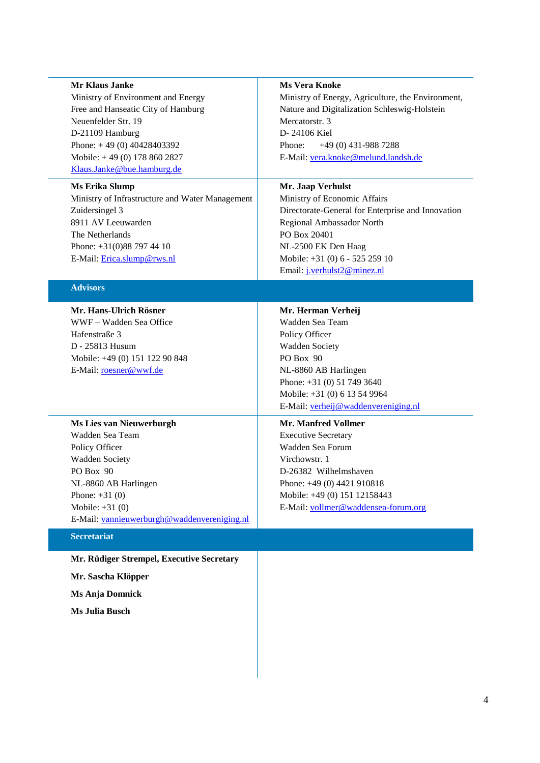| <b>Mr Klaus Janke</b>                           | <b>Ms Vera Knoke</b>                                                                                              |  |  |
|-------------------------------------------------|-------------------------------------------------------------------------------------------------------------------|--|--|
| Ministry of Environment and Energy              | Ministry of Energy, Agriculture, the Environment,                                                                 |  |  |
| Free and Hanseatic City of Hamburg              | Nature and Digitalization Schleswig-Holstein<br>Mercatorstr. 3<br>D-24106 Kiel<br>$+49(0)$ 431-988 7288<br>Phone: |  |  |
| Neuenfelder Str. 19                             |                                                                                                                   |  |  |
| D-21109 Hamburg                                 |                                                                                                                   |  |  |
| Phone: $+49(0) 40428403392$                     |                                                                                                                   |  |  |
| Mobile: +49 (0) 178 860 2827                    | E-Mail: vera.knoke@melund.landsh.de                                                                               |  |  |
| Klaus.Janke@bue.hamburg.de                      |                                                                                                                   |  |  |
| <b>Ms Erika Slump</b>                           | Mr. Jaap Verhulst                                                                                                 |  |  |
| Ministry of Infrastructure and Water Management | Ministry of Economic Affairs                                                                                      |  |  |
| Zuidersingel 3                                  | Directorate-General for Enterprise and Innovation                                                                 |  |  |
| 8911 AV Leeuwarden                              | Regional Ambassador North                                                                                         |  |  |
| The Netherlands                                 | PO Box 20401                                                                                                      |  |  |
| Phone: +31(0)88 797 44 10                       | NL-2500 EK Den Haag                                                                                               |  |  |
| E-Mail: Erica.slump@rws.nl                      | Mobile: +31 (0) 6 - 525 259 10                                                                                    |  |  |
|                                                 | Email: j.verhulst2@minez.nl                                                                                       |  |  |
| <b>Advisors</b>                                 |                                                                                                                   |  |  |
| Mr. Hans-Ulrich Rösner                          | Mr. Herman Verheij                                                                                                |  |  |
| WWF - Wadden Sea Office                         | Wadden Sea Team                                                                                                   |  |  |
| Hafenstraße 3                                   | Policy Officer                                                                                                    |  |  |
| D - 25813 Husum                                 | <b>Wadden Society</b>                                                                                             |  |  |
| Mobile: +49 (0) 151 122 90 848                  | PO Box 90                                                                                                         |  |  |
| E-Mail: roesner@wwf.de                          | NL-8860 AB Harlingen                                                                                              |  |  |
|                                                 | Phone: +31 (0) 51 749 3640                                                                                        |  |  |
|                                                 | Mobile: +31 (0) 6 13 54 9964                                                                                      |  |  |
|                                                 | E-Mail: verheij@waddenvereniging.nl                                                                               |  |  |
| <b>Ms Lies van Nieuwerburgh</b>                 | <b>Mr. Manfred Vollmer</b>                                                                                        |  |  |
| Wadden Sea Team                                 | <b>Executive Secretary</b>                                                                                        |  |  |
| Policy Officer                                  | Wadden Sea Forum                                                                                                  |  |  |
| Wadden Society                                  | Virchowstr. 1                                                                                                     |  |  |
| PO Box 90                                       | D-26382 Wilhelmshaven                                                                                             |  |  |
| NL-8860 AB Harlingen                            | Phone: +49 (0) 4421 910818                                                                                        |  |  |
| Phone: $+31(0)$                                 | Mobile: +49 (0) 151 12158443                                                                                      |  |  |
| Mobile: $+31(0)$                                | E-Mail: vollmer@waddensea-forum.org                                                                               |  |  |
| E-Mail: vannieuwerburgh@waddenvereniging.nl     |                                                                                                                   |  |  |
| <b>Secretariat</b>                              |                                                                                                                   |  |  |
| Mr. Rüdiger Strempel, Executive Secretary       |                                                                                                                   |  |  |
| Mr. Sascha Klöpper                              |                                                                                                                   |  |  |
| <b>Ms Anja Domnick</b>                          |                                                                                                                   |  |  |

**Ms Julia Busch**

4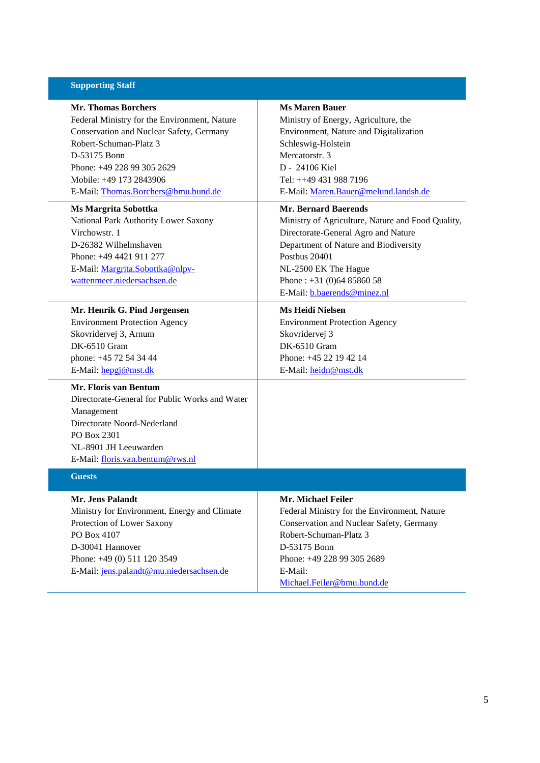### **Supporting Staff**

**Mr. Thomas Borchers** Federal Ministry for the Environment, Nature Conservation and Nuclear Safety, Germany Robert-Schuman-Platz 3 D-53175 Bonn Phone: +49 228 99 305 2629 Mobile: +49 173 2843906 E-Mail: [Thomas.Borchers@bmu.bund.de](mailto:Thomas.Borchers@bmu.bund.de)

#### **Ms Margrita Sobottka**

National Park Authority Lower Saxony Virchowstr. 1 D-26382 Wilhelmshaven Phone: +49 4421 911 277 E-Mail: [Margrita.Sobottka@nlpv](mailto:Margrita.Sobottka@nlpv-wattenmeer.niedersachsen.de)[wattenmeer.niedersachsen.de](mailto:Margrita.Sobottka@nlpv-wattenmeer.niedersachsen.de)

#### **Mr. Henrik G. Pind Jørgensen**

Environment Protection Agency Skovridervej 3, Arnum DK-6510 Gram phone: +45 72 54 34 44 E-Mail: [hepgj@mst.dk](mailto:hepgj@mst.dk)

# **Mr. Floris van Bentum**

Directorate-General for Public Works and Water Management Directorate Noord-Nederland PO Box 2301 NL-8901 JH Leeuwarden E-Mail: [floris.van.bentum@rws.nl](mailto:floris.van.bentum@rws.nl)

### **Guests**

**Mr. Jens Palandt** Ministry for Environment, Energy and Climate Protection of Lower Saxony PO Box 4107 D-30041 Hannover Phone: +49 (0) 511 120 3549

E-Mail: [jens.palandt@mu.niedersachsen.de](mailto:jens.palandt@mu.niedersachsen.de)

### **Ms Maren Bauer**

Ministry of Energy, Agriculture, the Environment, Nature and Digitalization Schleswig-Holstein Mercatorstr. 3 D - 24106 Kiel Tel: ++49 431 988 7196 E-Mail: [Maren.Bauer@melund.landsh.de](mailto:Maren.Bauer@melund.landsh.de)

#### **Mr. Bernard Baerends**

Ministry of Agriculture, Nature and Food Quality, Directorate-General Agro and Nature Department of Nature and Biodiversity Postbus 20401 NL-2500 EK The Hague Phone : +31 (0)64 85860 58 E-Mail: [b.baerends@minez.nl](mailto:b.baerends@minez.nl)

#### **Ms Heidi Nielsen**

Environment Protection Agency Skovridervej 3 DK-6510 Gram Phone: +45 22 19 42 14 E-Mail: [heidn@mst.dk](mailto:heidn@mst.dk)

### **Mr. Michael Feiler**

Federal Ministry for the Environment, Nature Conservation and Nuclear Safety, Germany Robert-Schuman-Platz 3 D-53175 Bonn Phone: +49 228 99 305 2689 E-Mail: [Michael.Feiler@bmu.bund.de](mailto:Michael.Feiler@bmu.bund.de)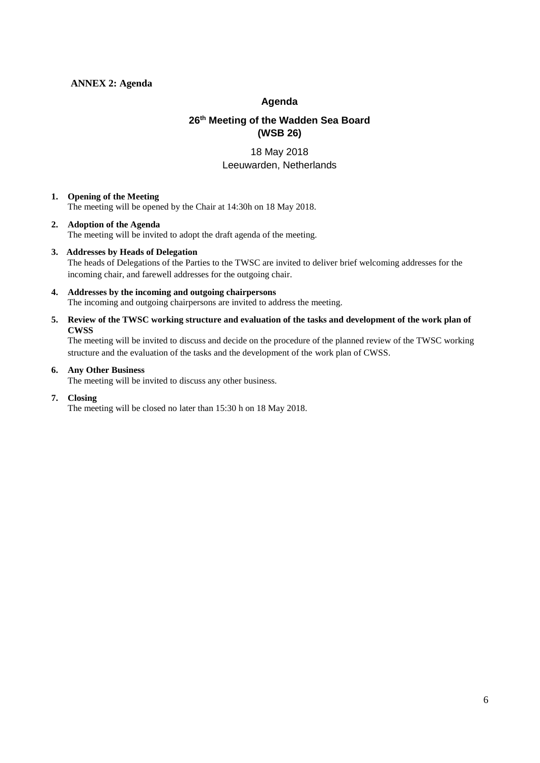## **ANNEX 2: Agenda**

## **Agenda**

# **26th Meeting of the Wadden Sea Board (WSB 26)**

# 18 May 2018 Leeuwarden, Netherlands

### **1. Opening of the Meeting**

The meeting will be opened by the Chair at 14:30h on 18 May 2018.

### **2. Adoption of the Agenda**

The meeting will be invited to adopt the draft agenda of the meeting.

### **3. Addresses by Heads of Delegation**

The heads of Delegations of the Parties to the TWSC are invited to deliver brief welcoming addresses for the incoming chair, and farewell addresses for the outgoing chair.

#### **4. Addresses by the incoming and outgoing chairpersons** The incoming and outgoing chairpersons are invited to address the meeting.

### **5. Review of the TWSC working structure and evaluation of the tasks and development of the work plan of CWSS**

The meeting will be invited to discuss and decide on the procedure of the planned review of the TWSC working structure and the evaluation of the tasks and the development of the work plan of CWSS.

### **6. Any Other Business**

The meeting will be invited to discuss any other business.

### **7. Closing**

The meeting will be closed no later than 15:30 h on 18 May 2018.